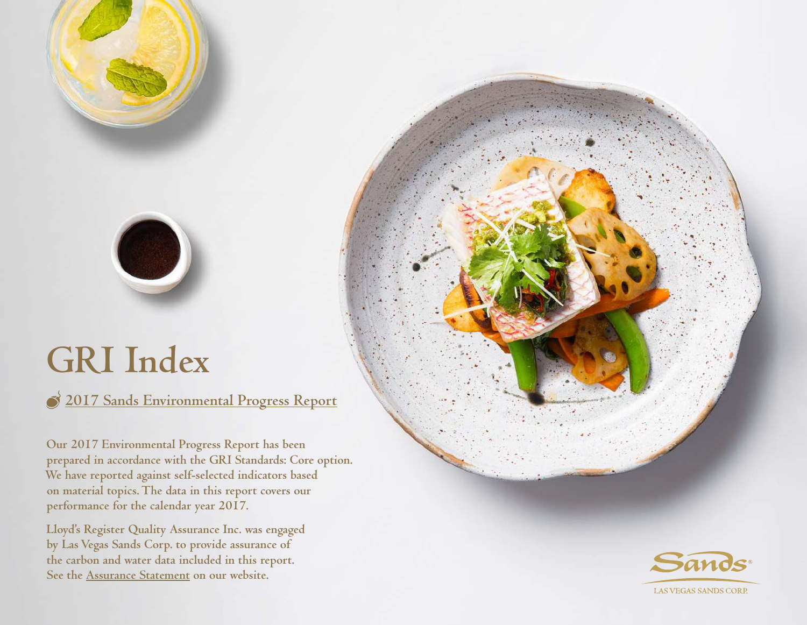# **GRI Index**

C

**[2017 Sands Environmental Progress Report](https://www.ifoldsflip.com/i/989186-sands-eco360-2017-environmental-report)**

**Our 2017 Environmental Progress Report has been prepared in accordance with the GRI Standards: Core option. We have reported against self-selected indicators based on material topics. The data in this report covers our performance for the calendar year 2017.**

**Lloyd's Register Quality Assurance Inc. was engaged by Las Vegas Sands Corp. to provide assurance of the carbon and water data included in this report. See the [Assurance Statement](https://www.sands.com/content/dam/corporate/sands/master/main/home/sands-eco-360/our-news/pdfs/2017-assurance-statement.pdf) on our website.**

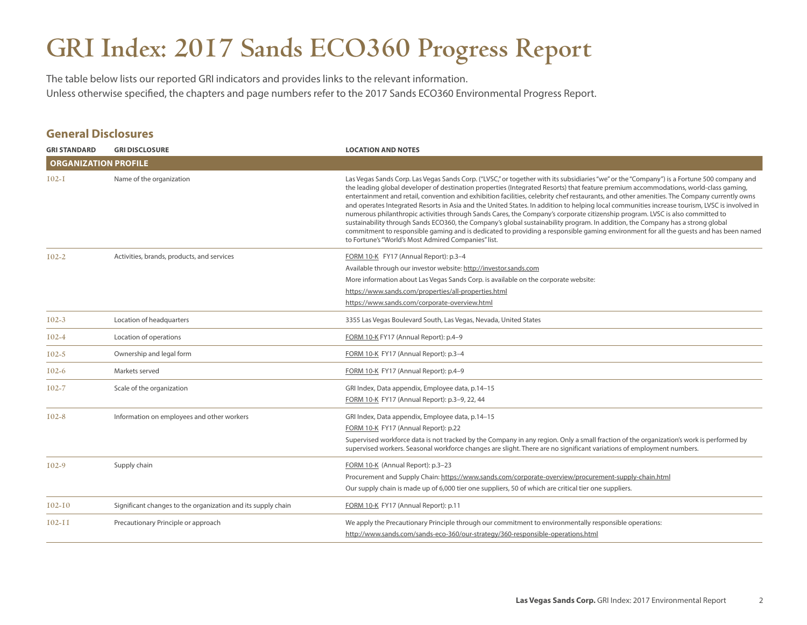## **GRI Index: 2017 Sands ECO360 Progress Report**

The table below lists our reported GRI indicators and provides links to the relevant information. Unless otherwise specified, the chapters and page numbers refer to the 2017 Sands ECO360 Environmental Progress Report.

#### **General Disclosures**

| <b>GRI STANDARD</b>         | <b>GRI DISCLOSURE</b>                                        | <b>LOCATION AND NOTES</b>                                                                                                                                                                                                                                                                                                                                                                                                                                                                                                                                                                                                                                                                                                                                                                                                                                                                                                                                                                                                                             |
|-----------------------------|--------------------------------------------------------------|-------------------------------------------------------------------------------------------------------------------------------------------------------------------------------------------------------------------------------------------------------------------------------------------------------------------------------------------------------------------------------------------------------------------------------------------------------------------------------------------------------------------------------------------------------------------------------------------------------------------------------------------------------------------------------------------------------------------------------------------------------------------------------------------------------------------------------------------------------------------------------------------------------------------------------------------------------------------------------------------------------------------------------------------------------|
| <b>ORGANIZATION PROFILE</b> |                                                              |                                                                                                                                                                                                                                                                                                                                                                                                                                                                                                                                                                                                                                                                                                                                                                                                                                                                                                                                                                                                                                                       |
| $I$ 02-I                    | Name of the organization                                     | Las Vegas Sands Corp. Las Vegas Sands Corp. ("LVSC," or together with its subsidiaries "we" or the "Company") is a Fortune 500 company and<br>the leading global developer of destination properties (Integrated Resorts) that feature premium accommodations, world-class gaming,<br>entertainment and retail, convention and exhibition facilities, celebrity chef restaurants, and other amenities. The Company currently owns<br>and operates Integrated Resorts in Asia and the United States. In addition to helping local communities increase tourism, LVSC is involved in<br>numerous philanthropic activities through Sands Cares, the Company's corporate citizenship program. LVSC is also committed to<br>sustainability through Sands ECO360, the Company's global sustainability program. In addition, the Company has a strong global<br>commitment to responsible gaming and is dedicated to providing a responsible gaming environment for all the quests and has been named<br>to Fortune's "World's Most Admired Companies" list. |
| $102 - 2$                   | Activities, brands, products, and services                   | FORM 10-K FY17 (Annual Report): p.3-4                                                                                                                                                                                                                                                                                                                                                                                                                                                                                                                                                                                                                                                                                                                                                                                                                                                                                                                                                                                                                 |
|                             |                                                              | Available through our investor website: http://investor.sands.com                                                                                                                                                                                                                                                                                                                                                                                                                                                                                                                                                                                                                                                                                                                                                                                                                                                                                                                                                                                     |
|                             |                                                              | More information about Las Vegas Sands Corp. is available on the corporate website:                                                                                                                                                                                                                                                                                                                                                                                                                                                                                                                                                                                                                                                                                                                                                                                                                                                                                                                                                                   |
|                             |                                                              | https://www.sands.com/properties/all-properties.html                                                                                                                                                                                                                                                                                                                                                                                                                                                                                                                                                                                                                                                                                                                                                                                                                                                                                                                                                                                                  |
|                             |                                                              | https://www.sands.com/corporate-overview.html                                                                                                                                                                                                                                                                                                                                                                                                                                                                                                                                                                                                                                                                                                                                                                                                                                                                                                                                                                                                         |
| $102 - 3$                   | Location of headquarters                                     | 3355 Las Vegas Boulevard South, Las Vegas, Nevada, United States                                                                                                                                                                                                                                                                                                                                                                                                                                                                                                                                                                                                                                                                                                                                                                                                                                                                                                                                                                                      |
| $102 - 4$                   | Location of operations                                       | FORM 10-K FY17 (Annual Report): p.4-9                                                                                                                                                                                                                                                                                                                                                                                                                                                                                                                                                                                                                                                                                                                                                                                                                                                                                                                                                                                                                 |
| $102 - 5$                   | Ownership and legal form                                     | FORM 10-K FY17 (Annual Report): p.3-4                                                                                                                                                                                                                                                                                                                                                                                                                                                                                                                                                                                                                                                                                                                                                                                                                                                                                                                                                                                                                 |
| $102 - 6$                   | Markets served                                               | FORM 10-K FY17 (Annual Report): p.4-9                                                                                                                                                                                                                                                                                                                                                                                                                                                                                                                                                                                                                                                                                                                                                                                                                                                                                                                                                                                                                 |
| $102 - 7$                   | Scale of the organization                                    | GRI Index, Data appendix, Employee data, p.14-15                                                                                                                                                                                                                                                                                                                                                                                                                                                                                                                                                                                                                                                                                                                                                                                                                                                                                                                                                                                                      |
|                             |                                                              | FORM 10-K FY17 (Annual Report): p.3-9, 22, 44                                                                                                                                                                                                                                                                                                                                                                                                                                                                                                                                                                                                                                                                                                                                                                                                                                                                                                                                                                                                         |
| $102 - 8$                   | Information on employees and other workers                   | GRI Index, Data appendix, Employee data, p.14-15                                                                                                                                                                                                                                                                                                                                                                                                                                                                                                                                                                                                                                                                                                                                                                                                                                                                                                                                                                                                      |
|                             |                                                              | FORM 10-K FY17 (Annual Report): p.22                                                                                                                                                                                                                                                                                                                                                                                                                                                                                                                                                                                                                                                                                                                                                                                                                                                                                                                                                                                                                  |
|                             |                                                              | Supervised workforce data is not tracked by the Company in any region. Only a small fraction of the organization's work is performed by<br>supervised workers. Seasonal workforce changes are slight. There are no significant variations of employment numbers.                                                                                                                                                                                                                                                                                                                                                                                                                                                                                                                                                                                                                                                                                                                                                                                      |
| $102-9$                     | Supply chain                                                 | FORM 10-K (Annual Report): p.3-23                                                                                                                                                                                                                                                                                                                                                                                                                                                                                                                                                                                                                                                                                                                                                                                                                                                                                                                                                                                                                     |
|                             |                                                              | Procurement and Supply Chain: https://www.sands.com/corporate-overview/procurement-supply-chain.html                                                                                                                                                                                                                                                                                                                                                                                                                                                                                                                                                                                                                                                                                                                                                                                                                                                                                                                                                  |
|                             |                                                              | Our supply chain is made up of 6,000 tier one suppliers, 50 of which are critical tier one suppliers.                                                                                                                                                                                                                                                                                                                                                                                                                                                                                                                                                                                                                                                                                                                                                                                                                                                                                                                                                 |
| $102 - 10$                  | Significant changes to the organization and its supply chain | FORM 10-K FY17 (Annual Report): p.11                                                                                                                                                                                                                                                                                                                                                                                                                                                                                                                                                                                                                                                                                                                                                                                                                                                                                                                                                                                                                  |
| $102 - 11$                  | Precautionary Principle or approach                          | We apply the Precautionary Principle through our commitment to environmentally responsible operations:                                                                                                                                                                                                                                                                                                                                                                                                                                                                                                                                                                                                                                                                                                                                                                                                                                                                                                                                                |
|                             |                                                              | http://www.sands.com/sands-eco-360/our-strategy/360-responsible-operations.html                                                                                                                                                                                                                                                                                                                                                                                                                                                                                                                                                                                                                                                                                                                                                                                                                                                                                                                                                                       |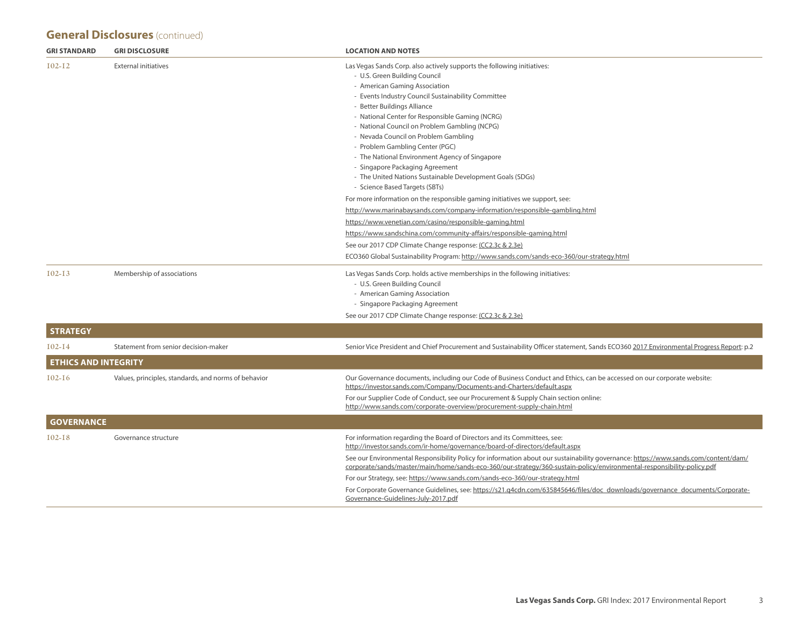## **General Disclosures** (continued)

| <b>GRI DISCLOSURE</b>                                | <b>LOCATION AND NOTES</b>                                                                                                                                                                                                                                                                                                                                                                                                                                                                                                                                                                                                                                                          |
|------------------------------------------------------|------------------------------------------------------------------------------------------------------------------------------------------------------------------------------------------------------------------------------------------------------------------------------------------------------------------------------------------------------------------------------------------------------------------------------------------------------------------------------------------------------------------------------------------------------------------------------------------------------------------------------------------------------------------------------------|
| <b>External initiatives</b>                          | Las Vegas Sands Corp. also actively supports the following initiatives:<br>- U.S. Green Building Council<br>- American Gaming Association<br>- Events Industry Council Sustainability Committee<br>- Better Buildings Alliance<br>- National Center for Responsible Gaming (NCRG)<br>- National Council on Problem Gambling (NCPG)<br>- Nevada Council on Problem Gambling<br>- Problem Gambling Center (PGC)<br>- The National Environment Agency of Singapore<br>- Singapore Packaging Agreement<br>- The United Nations Sustainable Development Goals (SDGs)<br>- Science Based Targets (SBTs)                                                                                  |
|                                                      | For more information on the responsible gaming initiatives we support, see:<br>http://www.marinabaysands.com/company-information/responsible-gambling.html<br>https://www.venetian.com/casino/responsible-gaming.html<br>https://www.sandschina.com/community-affairs/responsible-gaming.html<br>See our 2017 CDP Climate Change response: (CC2.3c & 2.3e)<br>ECO360 Global Sustainability Program: http://www.sands.com/sands-eco-360/our-strategy.html                                                                                                                                                                                                                           |
| Membership of associations                           | Las Vegas Sands Corp. holds active memberships in the following initiatives:<br>- U.S. Green Building Council<br>- American Gaming Association<br>- Singapore Packaging Agreement<br>See our 2017 CDP Climate Change response: (CC2.3c & 2.3e)                                                                                                                                                                                                                                                                                                                                                                                                                                     |
|                                                      |                                                                                                                                                                                                                                                                                                                                                                                                                                                                                                                                                                                                                                                                                    |
| Statement from senior decision-maker                 | Senior Vice President and Chief Procurement and Sustainability Officer statement, Sands ECO360 2017 Environmental Progress Report: p.2                                                                                                                                                                                                                                                                                                                                                                                                                                                                                                                                             |
| <b>ETHICS AND INTEGRITY</b>                          |                                                                                                                                                                                                                                                                                                                                                                                                                                                                                                                                                                                                                                                                                    |
| Values, principles, standards, and norms of behavior | Our Governance documents, including our Code of Business Conduct and Ethics, can be accessed on our corporate website:<br>https://investor.sands.com/Company/Documents-and-Charters/default.aspx<br>For our Supplier Code of Conduct, see our Procurement & Supply Chain section online:<br>http://www.sands.com/corporate-overview/procurement-supply-chain.html                                                                                                                                                                                                                                                                                                                  |
| <b>GOVERNANCE</b>                                    |                                                                                                                                                                                                                                                                                                                                                                                                                                                                                                                                                                                                                                                                                    |
| Governance structure                                 | For information regarding the Board of Directors and its Committees, see:<br>http://investor.sands.com/ir-home/governance/board-of-directors/default.aspx<br>See our Environmental Responsibility Policy for information about our sustainability governance: https://www.sands.com/content/dam/<br>corporate/sands/master/main/home/sands-eco-360/our-strategy/360-sustain-policy/environmental-responsibility-policy.pdf<br>For our Strategy, see: https://www.sands.com/sands-eco-360/our-strategy.html<br>For Corporate Governance Guidelines, see: https://s21.q4cdn.com/635845646/files/doc_downloads/governance_documents/Corporate-<br>Governance-Guidelines-July-2017.pdf |
|                                                      |                                                                                                                                                                                                                                                                                                                                                                                                                                                                                                                                                                                                                                                                                    |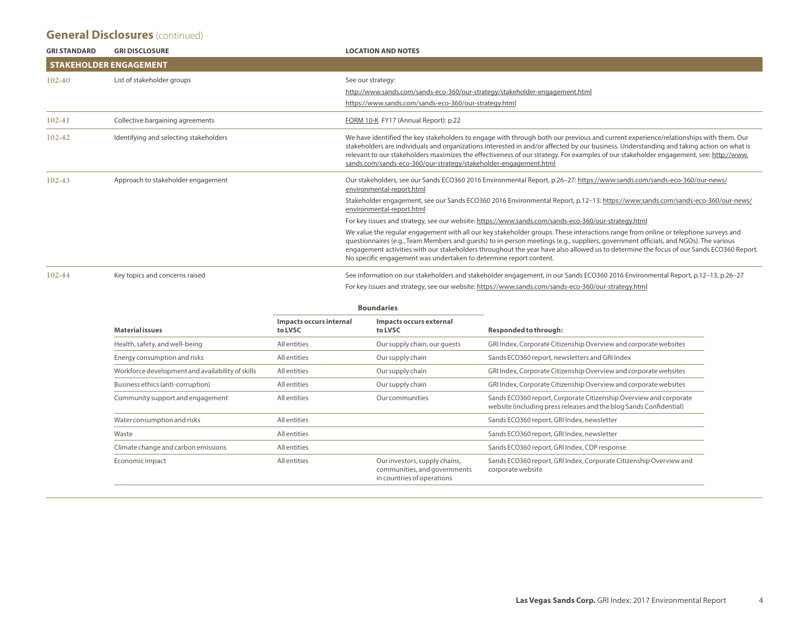#### **General Disclosures** (continued)

| <b>GRI STANDARD</b> | <b>GRI DISCLOSURE</b>                  | <b>LOCATION AND NOTES</b>                                                                                                                                                                                                                                                                                                                                                                                                                                                                      |
|---------------------|----------------------------------------|------------------------------------------------------------------------------------------------------------------------------------------------------------------------------------------------------------------------------------------------------------------------------------------------------------------------------------------------------------------------------------------------------------------------------------------------------------------------------------------------|
|                     | <b>STAKEHOLDER ENGAGEMENT</b>          |                                                                                                                                                                                                                                                                                                                                                                                                                                                                                                |
| $102-40$            | List of stakeholder groups             | See our strategy:                                                                                                                                                                                                                                                                                                                                                                                                                                                                              |
|                     |                                        | http://www.sands.com/sands-eco-360/our-strategy/stakeholder-engagement.html                                                                                                                                                                                                                                                                                                                                                                                                                    |
|                     |                                        | https://www.sands.com/sands-eco-360/our-strategy.html                                                                                                                                                                                                                                                                                                                                                                                                                                          |
| $102 - 41$          | Collective bargaining agreements       | FORM 10-K FY17 (Annual Report): p.22                                                                                                                                                                                                                                                                                                                                                                                                                                                           |
| 102-42              | Identifying and selecting stakeholders | We have identified the key stakeholders to engage with through both our previous and current experience/relationships with them. Our<br>stakeholders are individuals and organizations interested in and/or affected by our business. Understanding and taking action on what is<br>relevant to our stakeholders maximizes the effectiveness of our strategy. For examples of our stakeholder engagement, see: http://www.<br>sands.com/sands-eco-360/our-strategy/stakeholder-engagement.html |
| $102 - 43$          | Approach to stakeholder engagement     | Our stakeholders, see our Sands ECO360 2016 Environmental Report, p.26-27: https://www.sands.com/sands-eco-360/our-news/<br>environmental-report.html                                                                                                                                                                                                                                                                                                                                          |
|                     |                                        | Stakeholder engagement, see our Sands ECO360 2016 Environmental Report, p.12-13: https://www.sands.com/sands-eco-360/our-news/<br>environmental-report.html                                                                                                                                                                                                                                                                                                                                    |
|                     |                                        | For key issues and strategy, see our website: https://www.sands.com/sands-eco-360/our-strategy.html                                                                                                                                                                                                                                                                                                                                                                                            |
|                     |                                        | We value the regular engagement with all our key stakeholder groups. These interactions range from online or telephone surveys and<br>questionnaires (e.g., Team Members and quests) to in-person meetings (e.g., suppliers, government officials, and NGOs). The various<br>engagement activities with our stakeholders throughout the year have also allowed us to determine the focus of our Sands ECO360 Report.<br>No specific engagement was undertaken to determine report content.     |
| 102-44              | Key topics and concerns raised         | See information on our stakeholders and stakeholder engagement, in our Sands ECO360 2016 Environmental Report, p.12-13, p.26-27                                                                                                                                                                                                                                                                                                                                                                |
|                     |                                        | For key issues and strategy, see our website: https://www.sands.com/sands-eco-360/our-strategy.html                                                                                                                                                                                                                                                                                                                                                                                            |

| soungaries |  |
|------------|--|
|            |  |

| Impacts occurs internal<br>to LVSC | Impacts occurs external<br>to LVSC                                                          | <b>Responded to through:</b>                                                                                                            |  |
|------------------------------------|---------------------------------------------------------------------------------------------|-----------------------------------------------------------------------------------------------------------------------------------------|--|
| All entities                       | Our supply chain, our quests                                                                | GRI Index, Corporate Citizenship Overview and corporate websites                                                                        |  |
| All entities                       | Our supply chain                                                                            | Sands ECO360 report, newsletters and GRI Index                                                                                          |  |
| All entities                       | Our supply chain                                                                            | GRI Index, Corporate Citizenship Overview and corporate websites                                                                        |  |
| All entities                       | Our supply chain                                                                            | GRI Index, Corporate Citizenship Overview and corporate websites                                                                        |  |
| <b>All</b> entities                | Our communities                                                                             | Sands ECO360 report, Corporate Citizenship Overview and corporate<br>website (including press releases and the blog Sands Confidential) |  |
| <b>All</b> entities                |                                                                                             | Sands ECO360 report, GRI Index, newsletter                                                                                              |  |
| All entities                       |                                                                                             | Sands ECO360 report, GRI Index, newsletter                                                                                              |  |
| All entities                       |                                                                                             | Sands ECO360 report, GRI Index, CDP response                                                                                            |  |
| <b>All</b> entities                | Our investors, supply chains,<br>communities, and governments<br>in countries of operations | Sands ECO360 report, GRI Index, Corporate Citizenship Overview and<br>corporate website                                                 |  |
|                                    |                                                                                             |                                                                                                                                         |  |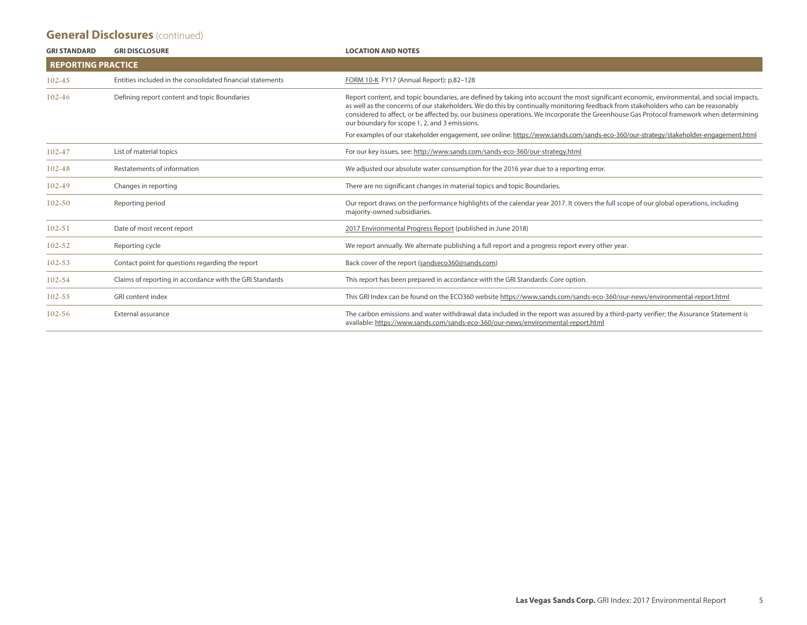#### **General Disclosures** (continued)

| <b>GRI STANDARD</b>       | <b>GRI DISCLOSURE</b>                                      | <b>LOCATION AND NOTES</b>                                                                                                                                                                                                                                                                                                                                                                                                                                                    |
|---------------------------|------------------------------------------------------------|------------------------------------------------------------------------------------------------------------------------------------------------------------------------------------------------------------------------------------------------------------------------------------------------------------------------------------------------------------------------------------------------------------------------------------------------------------------------------|
| <b>REPORTING PRACTICE</b> |                                                            |                                                                                                                                                                                                                                                                                                                                                                                                                                                                              |
| 102-45                    | Entities included in the consolidated financial statements | FORM 10-K FY17 (Annual Report): p.82-128                                                                                                                                                                                                                                                                                                                                                                                                                                     |
| 102-46                    | Defining report content and topic Boundaries               | Report content, and topic boundaries, are defined by taking into account the most significant economic, environmental, and social impacts,<br>as well as the concerns of our stakeholders. We do this by continually monitoring feedback from stakeholders who can be reasonably<br>considered to affect, or be affected by, our business operations. We incorporate the Greenhouse Gas Protocol framework when determining<br>our boundary for scope 1, 2, and 3 emissions. |
|                           |                                                            | For examples of our stakeholder engagement, see online: https://www.sands.com/sands-eco-360/our-strategy/stakeholder-engagement.html                                                                                                                                                                                                                                                                                                                                         |
| 102-47                    | List of material topics                                    | For our key issues, see: http://www.sands.com/sands-eco-360/our-strategy.html                                                                                                                                                                                                                                                                                                                                                                                                |
| 102-48                    | Restatements of information                                | We adjusted our absolute water consumption for the 2016 year due to a reporting error.                                                                                                                                                                                                                                                                                                                                                                                       |
| 102-49                    | Changes in reporting                                       | There are no significant changes in material topics and topic Boundaries.                                                                                                                                                                                                                                                                                                                                                                                                    |
| 102-50                    | Reporting period                                           | Our report draws on the performance highlights of the calendar year 2017. It covers the full scope of our global operations, including<br>majority-owned subsidiaries.                                                                                                                                                                                                                                                                                                       |
| $102 - 51$                | Date of most recent report                                 | 2017 Environmental Progress Report (published in June 2018)                                                                                                                                                                                                                                                                                                                                                                                                                  |
| 102-52                    | Reporting cycle                                            | We report annually. We alternate publishing a full report and a progress report every other year.                                                                                                                                                                                                                                                                                                                                                                            |
| $102 - 53$                | Contact point for questions regarding the report           | Back cover of the report (sandseco360@sands.com)                                                                                                                                                                                                                                                                                                                                                                                                                             |
| 102-54                    | Claims of reporting in accordance with the GRI Standards   | This report has been prepared in accordance with the GRI Standards: Core option.                                                                                                                                                                                                                                                                                                                                                                                             |
| $I$ 02-55                 | <b>GRI</b> content index                                   | This GRI Index can be found on the ECO360 website https://www.sands.com/sands-eco-360/our-news/environmental-report.html                                                                                                                                                                                                                                                                                                                                                     |
| 102-56                    | External assurance                                         | The carbon emissions and water withdrawal data included in the report was assured by a third-party verifier; the Assurance Statement is<br>available: https://www.sands.com/sands-eco-360/our-news/environmental-report.html                                                                                                                                                                                                                                                 |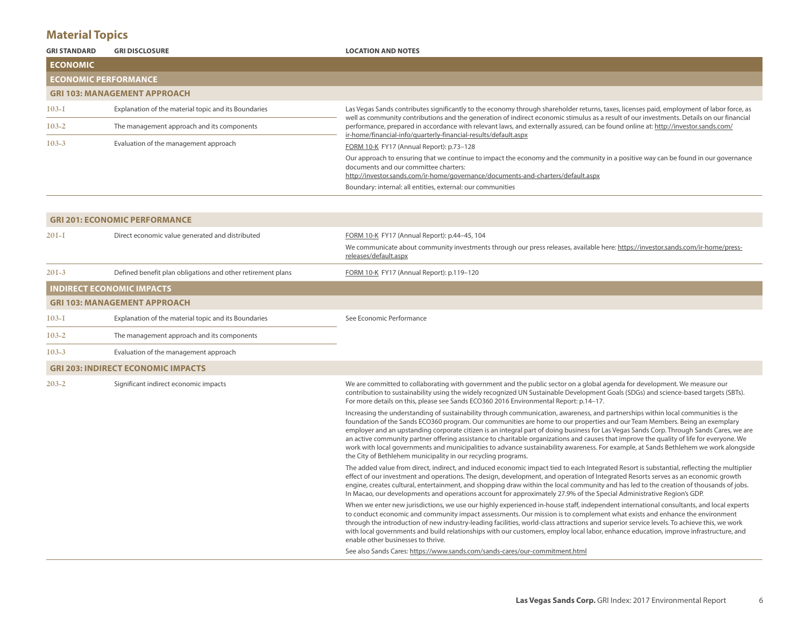## **Material Topics**

| <b>GRI STANDARD</b>           | <b>GRI DISCLOSURE</b>                                | <b>LOCATION AND NOTES</b>                                                                                                                                                                                                                                                                                                                          |
|-------------------------------|------------------------------------------------------|----------------------------------------------------------------------------------------------------------------------------------------------------------------------------------------------------------------------------------------------------------------------------------------------------------------------------------------------------|
| <b>ECONOMIC</b>               |                                                      |                                                                                                                                                                                                                                                                                                                                                    |
| <b>I ECONOMIC PERFORMANCE</b> |                                                      |                                                                                                                                                                                                                                                                                                                                                    |
|                               | <b>GRI 103: MANAGEMENT APPROACH</b>                  |                                                                                                                                                                                                                                                                                                                                                    |
| $103 - 1$                     | Explanation of the material topic and its Boundaries | Las Vegas Sands contributes significantly to the economy through shareholder returns, taxes, licenses paid, employment of labor force, as                                                                                                                                                                                                          |
| $103 - 2$                     | The management approach and its components           | well as community contributions and the generation of indirect economic stimulus as a result of our investments. Details on our financial<br>performance, prepared in accordance with relevant laws, and externally assured, can be found online at: http://investor.sands.com/<br>ir-home/financial-info/quarterly-financial-results/default.aspx |
| $103 - 3$                     | Evaluation of the management approach                | FORM 10-K FY17 (Annual Report): p.73-128                                                                                                                                                                                                                                                                                                           |
|                               |                                                      | Our approach to ensuring that we continue to impact the economy and the community in a positive way can be found in our governance<br>documents and our committee charters:<br>http://investor.sands.com/ir-home/governance/documents-and-charters/default.aspx                                                                                    |
|                               |                                                      | Boundary: internal: all entities, external: our communities                                                                                                                                                                                                                                                                                        |

|             | <b>GRI 201: ECONOMIC PERFORMANCE</b>                        |                                                                                                                                                                                                                                                                                                                                                                                                                                                                                                                                                                                                                                                                                                                                                                    |
|-------------|-------------------------------------------------------------|--------------------------------------------------------------------------------------------------------------------------------------------------------------------------------------------------------------------------------------------------------------------------------------------------------------------------------------------------------------------------------------------------------------------------------------------------------------------------------------------------------------------------------------------------------------------------------------------------------------------------------------------------------------------------------------------------------------------------------------------------------------------|
| $20I-I$     | Direct economic value generated and distributed             | FORM 10-K FY17 (Annual Report): p.44-45, 104                                                                                                                                                                                                                                                                                                                                                                                                                                                                                                                                                                                                                                                                                                                       |
|             |                                                             | We communicate about community investments through our press releases, available here: https://investor.sands.com/ir-home/press-<br>releases/default.aspx                                                                                                                                                                                                                                                                                                                                                                                                                                                                                                                                                                                                          |
| $201-3$     | Defined benefit plan obligations and other retirement plans | FORM 10-K FY17 (Annual Report): p.119-120                                                                                                                                                                                                                                                                                                                                                                                                                                                                                                                                                                                                                                                                                                                          |
|             | <b>INDIRECT ECONOMIC IMPACTS</b>                            |                                                                                                                                                                                                                                                                                                                                                                                                                                                                                                                                                                                                                                                                                                                                                                    |
|             | <b>GRI 103: MANAGEMENT APPROACH</b>                         |                                                                                                                                                                                                                                                                                                                                                                                                                                                                                                                                                                                                                                                                                                                                                                    |
| $I$ 03- $I$ | Explanation of the material topic and its Boundaries        | See Economic Performance                                                                                                                                                                                                                                                                                                                                                                                                                                                                                                                                                                                                                                                                                                                                           |
| $103 - 2$   | The management approach and its components                  |                                                                                                                                                                                                                                                                                                                                                                                                                                                                                                                                                                                                                                                                                                                                                                    |
| $103 - 3$   | Evaluation of the management approach                       |                                                                                                                                                                                                                                                                                                                                                                                                                                                                                                                                                                                                                                                                                                                                                                    |
|             | <b>GRI 203: INDIRECT ECONOMIC IMPACTS</b>                   |                                                                                                                                                                                                                                                                                                                                                                                                                                                                                                                                                                                                                                                                                                                                                                    |
| $203 - 2$   | Significant indirect economic impacts                       | We are committed to collaborating with government and the public sector on a global agenda for development. We measure our<br>contribution to sustainability using the widely recognized UN Sustainable Development Goals (SDGs) and science-based targets (SBTs).<br>For more details on this, please see Sands ECO360 2016 Environmental Report: p.14-17.                                                                                                                                                                                                                                                                                                                                                                                                        |
|             |                                                             | Increasing the understanding of sustainability through communication, awareness, and partnerships within local communities is the<br>foundation of the Sands ECO360 program. Our communities are home to our properties and our Team Members. Being an exemplary<br>employer and an upstanding corporate citizen is an integral part of doing business for Las Vegas Sands Corp. Through Sands Cares, we are<br>an active community partner offering assistance to charitable organizations and causes that improve the quality of life for everyone. We<br>work with local governments and municipalities to advance sustainability awareness. For example, at Sands Bethlehem we work alongside<br>the City of Bethlehem municipality in our recycling programs. |
|             |                                                             | The added value from direct, indirect, and induced economic impact tied to each Integrated Resort is substantial, reflecting the multiplier<br>effect of our investment and operations. The design, development, and operation of Integrated Resorts serves as an economic growth<br>engine, creates cultural, entertainment, and shopping draw within the local community and has led to the creation of thousands of jobs.<br>In Macao, our developments and operations account for approximately 27.9% of the Special Administrative Region's GDP.                                                                                                                                                                                                              |
|             |                                                             | When we enter new jurisdictions, we use our highly experienced in-house staff, independent international consultants, and local experts<br>to conduct economic and community impact assessments. Our mission is to complement what exists and enhance the environment<br>through the introduction of new industry-leading facilities, world-class attractions and superior service levels. To achieve this, we work<br>with local governments and build relationships with our customers, employ local labor, enhance education, improve infrastructure, and<br>enable other businesses to thrive.                                                                                                                                                                 |
|             |                                                             | See also Sands Cares: https://www.sands.com/sands-cares/our-commitment.html                                                                                                                                                                                                                                                                                                                                                                                                                                                                                                                                                                                                                                                                                        |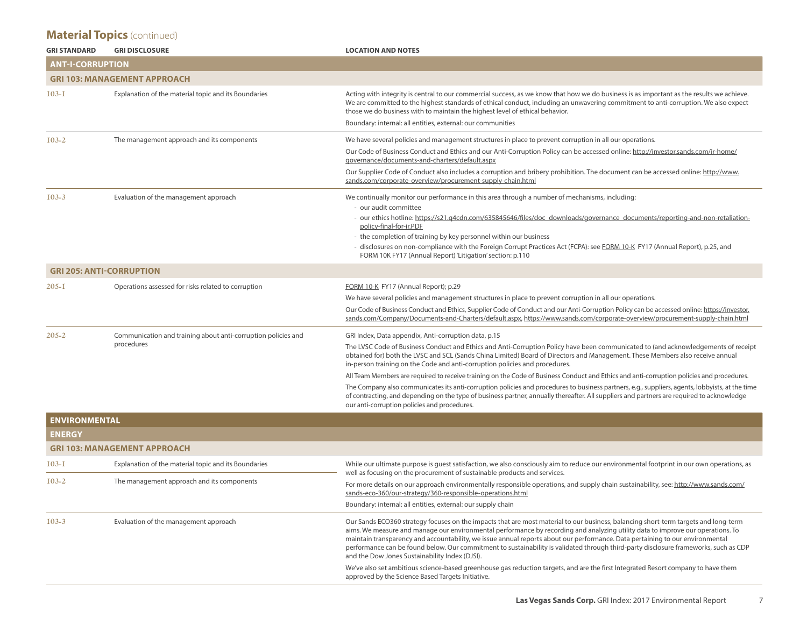| <b>GRI STANDARD</b>             | <b>GRI DISCLOSURE</b>                                                       | <b>LOCATION AND NOTES</b>                                                                                                                                                                                                                                                                                                                                                                                                                                                                                                                                                                         |
|---------------------------------|-----------------------------------------------------------------------------|---------------------------------------------------------------------------------------------------------------------------------------------------------------------------------------------------------------------------------------------------------------------------------------------------------------------------------------------------------------------------------------------------------------------------------------------------------------------------------------------------------------------------------------------------------------------------------------------------|
| <b>ANT-I-CORRUPTION</b>         |                                                                             |                                                                                                                                                                                                                                                                                                                                                                                                                                                                                                                                                                                                   |
|                                 | <b>GRI 103: MANAGEMENT APPROACH</b>                                         |                                                                                                                                                                                                                                                                                                                                                                                                                                                                                                                                                                                                   |
| 103-1                           | Explanation of the material topic and its Boundaries                        | Acting with integrity is central to our commercial success, as we know that how we do business is as important as the results we achieve.<br>We are committed to the highest standards of ethical conduct, including an unwavering commitment to anti-corruption. We also expect<br>those we do business with to maintain the highest level of ethical behavior.                                                                                                                                                                                                                                  |
|                                 |                                                                             | Boundary: internal: all entities, external: our communities                                                                                                                                                                                                                                                                                                                                                                                                                                                                                                                                       |
| $103 - 2$                       | The management approach and its components                                  | We have several policies and management structures in place to prevent corruption in all our operations.                                                                                                                                                                                                                                                                                                                                                                                                                                                                                          |
|                                 |                                                                             | Our Code of Business Conduct and Ethics and our Anti-Corruption Policy can be accessed online: http://investor.sands.com/ir-home/<br>governance/documents-and-charters/default.aspx                                                                                                                                                                                                                                                                                                                                                                                                               |
|                                 |                                                                             | Our Supplier Code of Conduct also includes a corruption and bribery prohibition. The document can be accessed online: http://www.<br>sands.com/corporate-overview/procurement-supply-chain.html                                                                                                                                                                                                                                                                                                                                                                                                   |
| $103 - 3$                       | Evaluation of the management approach                                       | We continually monitor our performance in this area through a number of mechanisms, including:<br>- our audit committee                                                                                                                                                                                                                                                                                                                                                                                                                                                                           |
|                                 |                                                                             | - our ethics hotline: https://s21.q4cdn.com/635845646/files/doc_downloads/governance_documents/reporting-and-non-retaliation-<br>policy-final-for-ir.PDF                                                                                                                                                                                                                                                                                                                                                                                                                                          |
|                                 |                                                                             | - the completion of training by key personnel within our business                                                                                                                                                                                                                                                                                                                                                                                                                                                                                                                                 |
|                                 |                                                                             | - disclosures on non-compliance with the Foreign Corrupt Practices Act (FCPA): see FORM 10-K FY17 (Annual Report), p.25, and<br>FORM 10K FY17 (Annual Report) 'Litigation' section: p.110                                                                                                                                                                                                                                                                                                                                                                                                         |
| <b>GRI 205: ANTI-CORRUPTION</b> |                                                                             |                                                                                                                                                                                                                                                                                                                                                                                                                                                                                                                                                                                                   |
| $205 - I$                       | Operations assessed for risks related to corruption                         | FORM 10-K FY17 (Annual Report); p.29                                                                                                                                                                                                                                                                                                                                                                                                                                                                                                                                                              |
|                                 |                                                                             | We have several policies and management structures in place to prevent corruption in all our operations.                                                                                                                                                                                                                                                                                                                                                                                                                                                                                          |
|                                 |                                                                             | Our Code of Business Conduct and Ethics, Supplier Code of Conduct and our Anti-Corruption Policy can be accessed online: https://investor.<br>sands.com/Company/Documents-and-Charters/default.aspx, https://www.sands.com/corporate-overview/procurement-supply-chain.html                                                                                                                                                                                                                                                                                                                       |
| $205 - 2$                       | Communication and training about anti-corruption policies and<br>procedures | GRI Index, Data appendix, Anti-corruption data, p.15                                                                                                                                                                                                                                                                                                                                                                                                                                                                                                                                              |
|                                 |                                                                             | The LVSC Code of Business Conduct and Ethics and Anti-Corruption Policy have been communicated to (and acknowledgements of receipt<br>obtained for) both the LVSC and SCL (Sands China Limited) Board of Directors and Management. These Members also receive annual<br>in-person training on the Code and anti-corruption policies and procedures.                                                                                                                                                                                                                                               |
|                                 |                                                                             | All Team Members are required to receive training on the Code of Business Conduct and Ethics and anti-corruption policies and procedures.                                                                                                                                                                                                                                                                                                                                                                                                                                                         |
|                                 |                                                                             | The Company also communicates its anti-corruption policies and procedures to business partners, e.g., suppliers, agents, lobbyists, at the time<br>of contracting, and depending on the type of business partner, annually thereafter. All suppliers and partners are required to acknowledge<br>our anti-corruption policies and procedures.                                                                                                                                                                                                                                                     |
| <b>ENVIRONMENTAL</b>            |                                                                             |                                                                                                                                                                                                                                                                                                                                                                                                                                                                                                                                                                                                   |
| <b>ENERGY</b>                   |                                                                             |                                                                                                                                                                                                                                                                                                                                                                                                                                                                                                                                                                                                   |
|                                 | <b>GRI 103: MANAGEMENT APPROACH</b>                                         |                                                                                                                                                                                                                                                                                                                                                                                                                                                                                                                                                                                                   |
| 103-1                           | Explanation of the material topic and its Boundaries                        | While our ultimate purpose is guest satisfaction, we also consciously aim to reduce our environmental footprint in our own operations, as<br>well as focusing on the procurement of sustainable products and services.                                                                                                                                                                                                                                                                                                                                                                            |
| $103 - 2$                       | The management approach and its components                                  | For more details on our approach environmentally responsible operations, and supply chain sustainability, see: http://www.sands.com/<br>sands-eco-360/our-strategy/360-responsible-operations.html                                                                                                                                                                                                                                                                                                                                                                                                |
|                                 |                                                                             | Boundary: internal: all entities, external: our supply chain                                                                                                                                                                                                                                                                                                                                                                                                                                                                                                                                      |
| $103 - 3$                       | Evaluation of the management approach                                       | Our Sands ECO360 strategy focuses on the impacts that are most material to our business, balancing short-term targets and long-term<br>aims. We measure and manage our environmental performance by recording and analyzing utility data to improve our operations. To<br>maintain transparency and accountability, we issue annual reports about our performance. Data pertaining to our environmental<br>performance can be found below. Our commitment to sustainability is validated through third-party disclosure frameworks, such as CDP<br>and the Dow Jones Sustainability Index (DJSI). |
|                                 |                                                                             | We've also set ambitious science-based greenhouse gas reduction targets, and are the first Integrated Resort company to have them<br>approved by the Science Based Targets Initiative.                                                                                                                                                                                                                                                                                                                                                                                                            |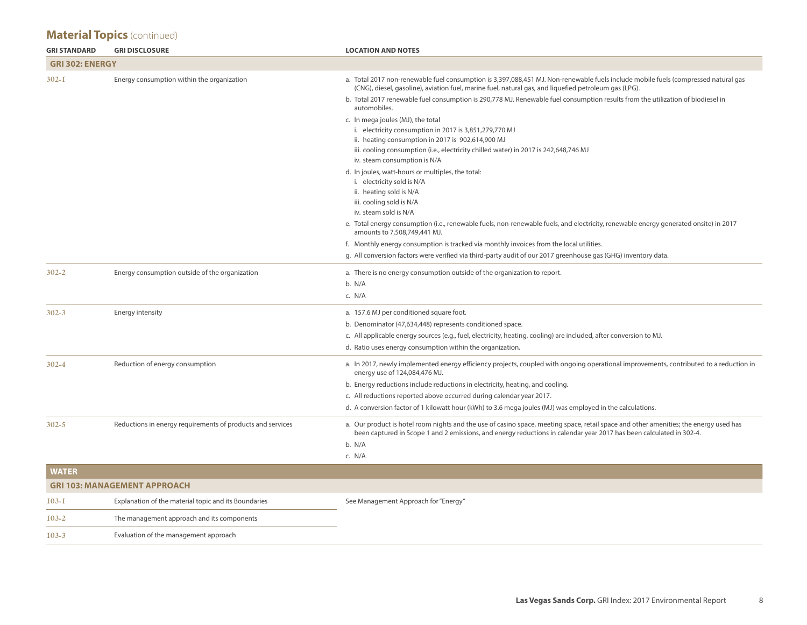| <b>GRI STANDARD</b>    | <b>GRI DISCLOSURE</b>                                      | <b>LOCATION AND NOTES</b>                                                                                                                                                                                                                                    |
|------------------------|------------------------------------------------------------|--------------------------------------------------------------------------------------------------------------------------------------------------------------------------------------------------------------------------------------------------------------|
| <b>GRI 302: ENERGY</b> |                                                            |                                                                                                                                                                                                                                                              |
| $302 - I$              | Energy consumption within the organization                 | a. Total 2017 non-renewable fuel consumption is 3,397,088,451 MJ. Non-renewable fuels include mobile fuels (compressed natural gas<br>(CNG), diesel, gasoline), aviation fuel, marine fuel, natural gas, and liquefied petroleum gas (LPG).                  |
|                        |                                                            | b. Total 2017 renewable fuel consumption is 290,778 MJ. Renewable fuel consumption results from the utilization of biodiesel in<br>automobiles.                                                                                                              |
|                        |                                                            | c. In mega joules (MJ), the total                                                                                                                                                                                                                            |
|                        |                                                            | i. electricity consumption in 2017 is 3,851,279,770 MJ<br>ii. heating consumption in 2017 is 902,614,900 MJ                                                                                                                                                  |
|                        |                                                            | iii. cooling consumption (i.e., electricity chilled water) in 2017 is 242,648,746 MJ                                                                                                                                                                         |
|                        |                                                            | iv. steam consumption is N/A                                                                                                                                                                                                                                 |
|                        |                                                            | d. In joules, watt-hours or multiples, the total:                                                                                                                                                                                                            |
|                        |                                                            | i. electricity sold is N/A                                                                                                                                                                                                                                   |
|                        |                                                            | ii. heating sold is N/A                                                                                                                                                                                                                                      |
|                        |                                                            | iii. cooling sold is N/A<br>iv. steam sold is N/A                                                                                                                                                                                                            |
|                        |                                                            | e. Total energy consumption (i.e., renewable fuels, non-renewable fuels, and electricity, renewable energy generated onsite) in 2017<br>amounts to 7,508,749,441 MJ.                                                                                         |
|                        |                                                            | f. Monthly energy consumption is tracked via monthly invoices from the local utilities.                                                                                                                                                                      |
|                        |                                                            | g. All conversion factors were verified via third-party audit of our 2017 greenhouse gas (GHG) inventory data.                                                                                                                                               |
| $302 - 2$              | Energy consumption outside of the organization             | a. There is no energy consumption outside of the organization to report.                                                                                                                                                                                     |
|                        |                                                            | b. N/A                                                                                                                                                                                                                                                       |
|                        |                                                            | c. N/A                                                                                                                                                                                                                                                       |
| $302 - 3$              | Energy intensity                                           | a. 157.6 MJ per conditioned square foot.                                                                                                                                                                                                                     |
|                        |                                                            | b. Denominator (47,634,448) represents conditioned space.                                                                                                                                                                                                    |
|                        |                                                            | c. All applicable energy sources (e.g., fuel, electricity, heating, cooling) are included, after conversion to MJ.                                                                                                                                           |
|                        |                                                            | d. Ratio uses energy consumption within the organization.                                                                                                                                                                                                    |
| $302 - 4$              | Reduction of energy consumption                            | a. In 2017, newly implemented energy efficiency projects, coupled with ongoing operational improvements, contributed to a reduction in<br>energy use of 124,084,476 MJ.                                                                                      |
|                        |                                                            | b. Energy reductions include reductions in electricity, heating, and cooling.                                                                                                                                                                                |
|                        |                                                            | c. All reductions reported above occurred during calendar year 2017.                                                                                                                                                                                         |
|                        |                                                            | d. A conversion factor of 1 kilowatt hour (kWh) to 3.6 mega joules (MJ) was employed in the calculations.                                                                                                                                                    |
| $302 - 5$              | Reductions in energy requirements of products and services | a. Our product is hotel room nights and the use of casino space, meeting space, retail space and other amenities; the energy used has<br>been captured in Scope 1 and 2 emissions, and energy reductions in calendar year 2017 has been calculated in 302-4. |
|                        |                                                            | b. N/A                                                                                                                                                                                                                                                       |
|                        |                                                            | c. N/A                                                                                                                                                                                                                                                       |
| <b>WATER</b>           |                                                            |                                                                                                                                                                                                                                                              |
|                        | <b>GRI 103: MANAGEMENT APPROACH</b>                        |                                                                                                                                                                                                                                                              |
| $103 - 1$              | Explanation of the material topic and its Boundaries       | See Management Approach for "Energy"                                                                                                                                                                                                                         |
| $103 - 2$              | The management approach and its components                 |                                                                                                                                                                                                                                                              |
| $103 - 3$              | Evaluation of the management approach                      |                                                                                                                                                                                                                                                              |
|                        |                                                            |                                                                                                                                                                                                                                                              |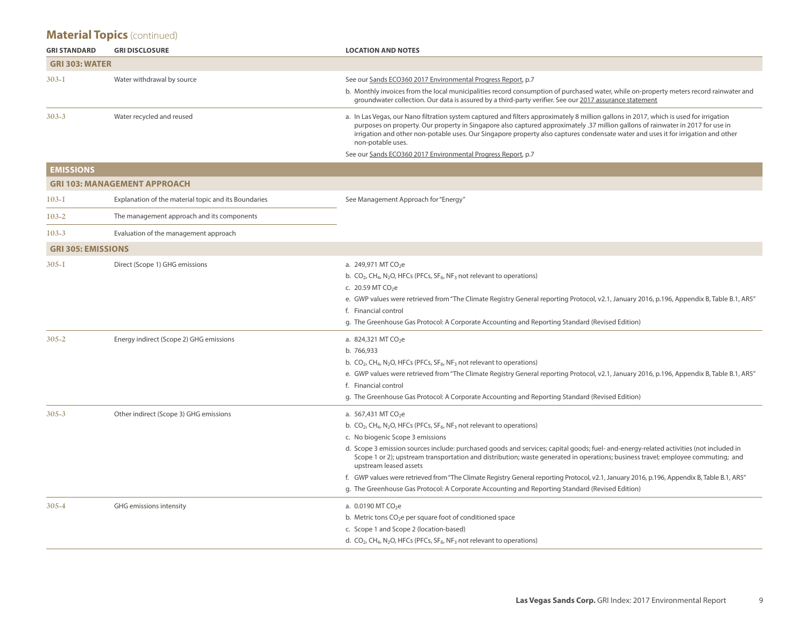| <b>GRI STANDARD</b>       | <b>GRI DISCLOSURE</b>                                | <b>LOCATION AND NOTES</b>                                                                                                                                                                                                                                                                                                                                                                                                                                                                                                                                                                                                                                                                                                                                 |
|---------------------------|------------------------------------------------------|-----------------------------------------------------------------------------------------------------------------------------------------------------------------------------------------------------------------------------------------------------------------------------------------------------------------------------------------------------------------------------------------------------------------------------------------------------------------------------------------------------------------------------------------------------------------------------------------------------------------------------------------------------------------------------------------------------------------------------------------------------------|
| <b>GRI 303: WATER</b>     |                                                      |                                                                                                                                                                                                                                                                                                                                                                                                                                                                                                                                                                                                                                                                                                                                                           |
| 303-I                     | Water withdrawal by source                           | See our Sands ECO360 2017 Environmental Progress Report, p.7                                                                                                                                                                                                                                                                                                                                                                                                                                                                                                                                                                                                                                                                                              |
|                           |                                                      | b. Monthly invoices from the local municipalities record consumption of purchased water, while on-property meters record rainwater and<br>groundwater collection. Our data is assured by a third-party verifier. See our 2017 assurance statement                                                                                                                                                                                                                                                                                                                                                                                                                                                                                                         |
| 303-3                     | Water recycled and reused                            | a. In Las Vegas, our Nano filtration system captured and filters approximately 8 million gallons in 2017, which is used for irrigation<br>purposes on property. Our property in Singapore also captured approximately .37 million gallons of rainwater in 2017 for use in<br>irrigation and other non-potable uses. Our Singapore property also captures condensate water and uses it for irrigation and other<br>non-potable uses.<br>See our Sands ECO360 2017 Environmental Progress Report, p.7                                                                                                                                                                                                                                                       |
| <b>EMISSIONS</b>          |                                                      |                                                                                                                                                                                                                                                                                                                                                                                                                                                                                                                                                                                                                                                                                                                                                           |
|                           | <b>GRI 103: MANAGEMENT APPROACH</b>                  |                                                                                                                                                                                                                                                                                                                                                                                                                                                                                                                                                                                                                                                                                                                                                           |
|                           |                                                      |                                                                                                                                                                                                                                                                                                                                                                                                                                                                                                                                                                                                                                                                                                                                                           |
| $103 - 1$                 | Explanation of the material topic and its Boundaries | See Management Approach for "Energy"                                                                                                                                                                                                                                                                                                                                                                                                                                                                                                                                                                                                                                                                                                                      |
| $103 - 2$                 | The management approach and its components           |                                                                                                                                                                                                                                                                                                                                                                                                                                                                                                                                                                                                                                                                                                                                                           |
| $103 - 3$                 | Evaluation of the management approach                |                                                                                                                                                                                                                                                                                                                                                                                                                                                                                                                                                                                                                                                                                                                                                           |
| <b>GRI 305: EMISSIONS</b> |                                                      |                                                                                                                                                                                                                                                                                                                                                                                                                                                                                                                                                                                                                                                                                                                                                           |
| 305-I                     | Direct (Scope 1) GHG emissions                       | a. 249,971 MT CO <sub>2</sub> e<br>b. $CO2$ , CH <sub>4</sub> , N <sub>2</sub> O, HFCs (PFCs, SF <sub>6</sub> , NF <sub>3</sub> not relevant to operations)<br>c. 20.59 MT CO <sub>2</sub> e<br>e. GWP values were retrieved from "The Climate Registry General reporting Protocol, v2.1, January 2016, p.196, Appendix B, Table B.1, AR5"<br>f. Financial control<br>g. The Greenhouse Gas Protocol: A Corporate Accounting and Reporting Standard (Revised Edition)                                                                                                                                                                                                                                                                                     |
| $305 - 2$                 | Energy indirect (Scope 2) GHG emissions              | a. 824,321 MT CO <sub>2</sub> e<br>b. 766,933<br>b. $CO_2$ , CH <sub>4</sub> , N <sub>2</sub> O, HFCs (PFCs, SF <sub>6</sub> , NF <sub>3</sub> not relevant to operations)<br>e. GWP values were retrieved from "The Climate Registry General reporting Protocol, v2.1, January 2016, p.196, Appendix B, Table B.1, AR5"<br>f. Financial control<br>g. The Greenhouse Gas Protocol: A Corporate Accounting and Reporting Standard (Revised Edition)                                                                                                                                                                                                                                                                                                       |
| $305 - 3$                 | Other indirect (Scope 3) GHG emissions               | a. 567,431 MT CO <sub>2</sub> e<br>b. $CO_2$ , CH <sub>4</sub> , N <sub>2</sub> O, HFCs (PFCs, SF <sub>6</sub> , NF <sub>3</sub> not relevant to operations)<br>c. No biogenic Scope 3 emissions<br>d. Scope 3 emission sources include: purchased goods and services; capital goods; fuel- and-energy-related activities (not included in<br>Scope 1 or 2); upstream transportation and distribution; waste generated in operations; business travel; employee commuting; and<br>upstream leased assets<br>f. GWP values were retrieved from "The Climate Registry General reporting Protocol, v2.1, January 2016, p.196, Appendix B, Table B.1, AR5"<br>g. The Greenhouse Gas Protocol: A Corporate Accounting and Reporting Standard (Revised Edition) |
| 305-4                     | GHG emissions intensity                              | a. $0.0190$ MT CO <sub>2</sub> e<br>b. Metric tons CO <sub>2</sub> e per square foot of conditioned space<br>c. Scope 1 and Scope 2 (location-based)<br>d. CO <sub>2</sub> , CH <sub>4</sub> , N <sub>2</sub> O, HFCs (PFCs, SF <sub>6</sub> , NF <sub>3</sub> not relevant to operations)                                                                                                                                                                                                                                                                                                                                                                                                                                                                |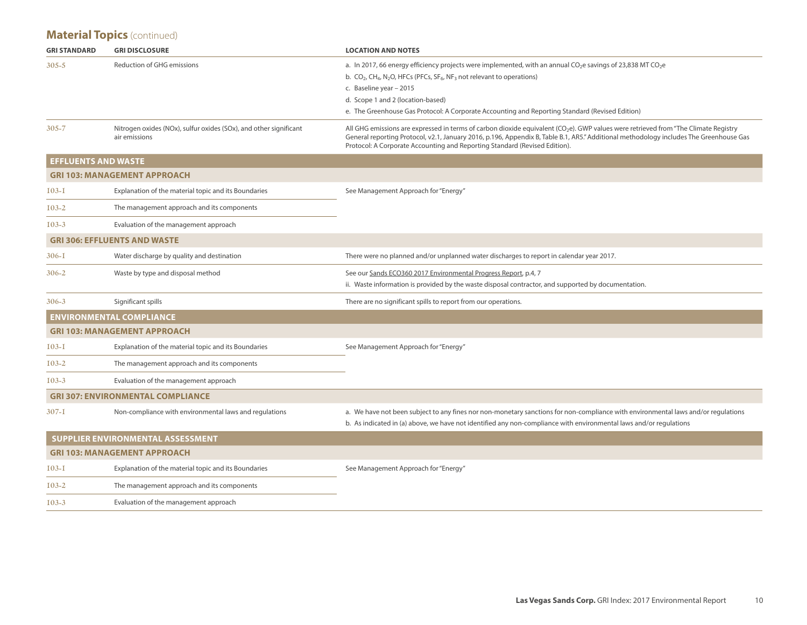| <b>GRI STANDARD</b>        | <b>GRI DISCLOSURE</b>                                                              | <b>LOCATION AND NOTES</b>                                                                                                                                                                                                                                                                                                                                                                                    |
|----------------------------|------------------------------------------------------------------------------------|--------------------------------------------------------------------------------------------------------------------------------------------------------------------------------------------------------------------------------------------------------------------------------------------------------------------------------------------------------------------------------------------------------------|
| $305 - 5$                  | <b>Reduction of GHG emissions</b>                                                  | a. In 2017, 66 energy efficiency projects were implemented, with an annual $CO2e$ savings of 23,838 MT $CO2e$<br>b. $CO2$ , CH <sub>4</sub> , N <sub>2</sub> O, HFCs (PFCs, SF <sub>6</sub> , NF <sub>3</sub> not relevant to operations)<br>c. Baseline year - 2015<br>d. Scope 1 and 2 (location-based)<br>e. The Greenhouse Gas Protocol: A Corporate Accounting and Reporting Standard (Revised Edition) |
| $305 - 7$                  | Nitrogen oxides (NOx), sulfur oxides (SOx), and other significant<br>air emissions | All GHG emissions are expressed in terms of carbon dioxide equivalent (CO <sub>2</sub> e). GWP values were retrieved from "The Climate Registry<br>General reporting Protocol, v2.1, January 2016, p.196, Appendix B, Table B.1, AR5." Additional methodology includes The Greenhouse Gas<br>Protocol: A Corporate Accounting and Reporting Standard (Revised Edition).                                      |
| <b>EFFLUENTS AND WASTE</b> |                                                                                    |                                                                                                                                                                                                                                                                                                                                                                                                              |
|                            | <b>GRI 103: MANAGEMENT APPROACH</b>                                                |                                                                                                                                                                                                                                                                                                                                                                                                              |
| $103 - 1$                  | Explanation of the material topic and its Boundaries                               | See Management Approach for "Energy"                                                                                                                                                                                                                                                                                                                                                                         |
| $103 - 2$                  | The management approach and its components                                         |                                                                                                                                                                                                                                                                                                                                                                                                              |
| $103 - 3$                  | Evaluation of the management approach                                              |                                                                                                                                                                                                                                                                                                                                                                                                              |
|                            | <b>GRI 306: EFFLUENTS AND WASTE</b>                                                |                                                                                                                                                                                                                                                                                                                                                                                                              |
| $306 - I$                  | Water discharge by quality and destination                                         | There were no planned and/or unplanned water discharges to report in calendar year 2017.                                                                                                                                                                                                                                                                                                                     |
| $306 - 2$                  | Waste by type and disposal method                                                  | See our Sands ECO360 2017 Environmental Progress Report, p.4, 7<br>ii. Waste information is provided by the waste disposal contractor, and supported by documentation.                                                                                                                                                                                                                                       |
| $306 - 3$                  | Significant spills                                                                 | There are no significant spills to report from our operations.                                                                                                                                                                                                                                                                                                                                               |
|                            | <b>ENVIRONMENTAL COMPLIANCE</b>                                                    |                                                                                                                                                                                                                                                                                                                                                                                                              |
|                            | <b>GRI 103: MANAGEMENT APPROACH</b>                                                |                                                                                                                                                                                                                                                                                                                                                                                                              |
| 103-1                      | Explanation of the material topic and its Boundaries                               | See Management Approach for "Energy"                                                                                                                                                                                                                                                                                                                                                                         |
| $103 - 2$                  | The management approach and its components                                         |                                                                                                                                                                                                                                                                                                                                                                                                              |
| $103 - 3$                  | Evaluation of the management approach                                              |                                                                                                                                                                                                                                                                                                                                                                                                              |
|                            | <b>GRI 307: ENVIRONMENTAL COMPLIANCE</b>                                           |                                                                                                                                                                                                                                                                                                                                                                                                              |
| $307 - I$                  | Non-compliance with environmental laws and regulations                             | a. We have not been subject to any fines nor non-monetary sanctions for non-compliance with environmental laws and/or regulations<br>b. As indicated in (a) above, we have not identified any non-compliance with environmental laws and/or regulations                                                                                                                                                      |
|                            | SUPPLIER ENVIRONMENTAL ASSESSMENT                                                  |                                                                                                                                                                                                                                                                                                                                                                                                              |
|                            | <b>GRI 103: MANAGEMENT APPROACH</b>                                                |                                                                                                                                                                                                                                                                                                                                                                                                              |
| $103 - 1$                  | Explanation of the material topic and its Boundaries                               | See Management Approach for "Energy"                                                                                                                                                                                                                                                                                                                                                                         |
| $103 - 2$                  | The management approach and its components                                         |                                                                                                                                                                                                                                                                                                                                                                                                              |
| $103 - 3$                  | Evaluation of the management approach                                              |                                                                                                                                                                                                                                                                                                                                                                                                              |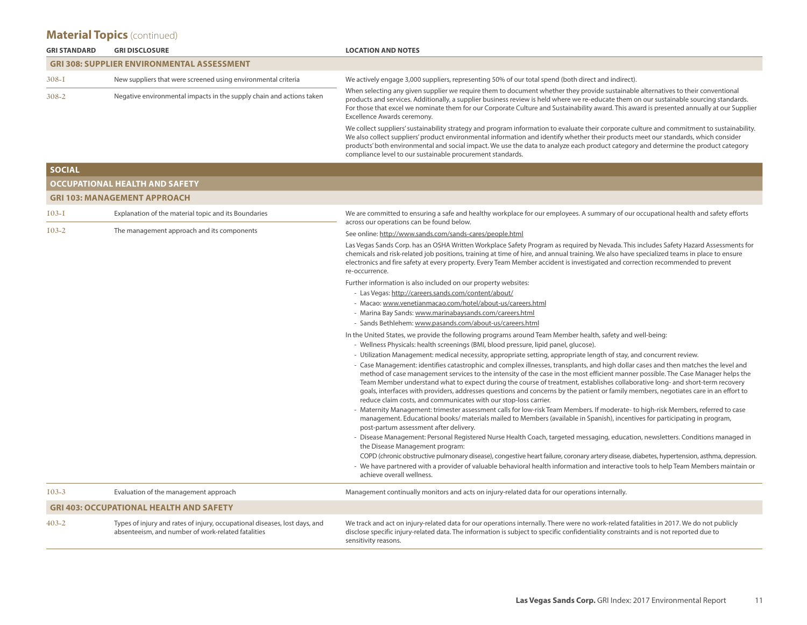| <b>GRI STANDARD</b> | <b>GRI DISCLOSURE</b>                                                                                                            | <b>LOCATION AND NOTES</b>                                                                                                                                                                                                                                                                                                                                                                                                                                                                                                                                                                                             |  |  |  |  |  |  |
|---------------------|----------------------------------------------------------------------------------------------------------------------------------|-----------------------------------------------------------------------------------------------------------------------------------------------------------------------------------------------------------------------------------------------------------------------------------------------------------------------------------------------------------------------------------------------------------------------------------------------------------------------------------------------------------------------------------------------------------------------------------------------------------------------|--|--|--|--|--|--|
|                     | <b>GRI 308: SUPPLIER ENVIRONMENTAL ASSESSMENT</b>                                                                                |                                                                                                                                                                                                                                                                                                                                                                                                                                                                                                                                                                                                                       |  |  |  |  |  |  |
| $308 - 1$           | New suppliers that were screened using environmental criteria                                                                    | We actively engage 3,000 suppliers, representing 50% of our total spend (both direct and indirect).                                                                                                                                                                                                                                                                                                                                                                                                                                                                                                                   |  |  |  |  |  |  |
| $308 - 2$           | Negative environmental impacts in the supply chain and actions taken                                                             | When selecting any given supplier we require them to document whether they provide sustainable alternatives to their conventional<br>products and services. Additionally, a supplier business review is held where we re-educate them on our sustainable sourcing standards.<br>For those that excel we nominate them for our Corporate Culture and Sustainability award. This award is presented annually at our Supplier<br>Excellence Awards ceremony.                                                                                                                                                             |  |  |  |  |  |  |
|                     |                                                                                                                                  | We collect suppliers' sustainability strategy and program information to evaluate their corporate culture and commitment to sustainability.<br>We also collect suppliers' product environmental information and identify whether their products meet our standards, which consider<br>products' both environmental and social impact. We use the data to analyze each product category and determine the product category<br>compliance level to our sustainable procurement standards.                                                                                                                               |  |  |  |  |  |  |
| <b>SOCIAL</b>       |                                                                                                                                  |                                                                                                                                                                                                                                                                                                                                                                                                                                                                                                                                                                                                                       |  |  |  |  |  |  |
|                     | OCCUPATIONAL HEALTH AND SAFETY                                                                                                   |                                                                                                                                                                                                                                                                                                                                                                                                                                                                                                                                                                                                                       |  |  |  |  |  |  |
|                     | <b>GRI 103: MANAGEMENT APPROACH</b>                                                                                              |                                                                                                                                                                                                                                                                                                                                                                                                                                                                                                                                                                                                                       |  |  |  |  |  |  |
| $103 - 1$           | Explanation of the material topic and its Boundaries                                                                             | We are committed to ensuring a safe and healthy workplace for our employees. A summary of our occupational health and safety efforts<br>across our operations can be found below.                                                                                                                                                                                                                                                                                                                                                                                                                                     |  |  |  |  |  |  |
| $103 - 2$           | The management approach and its components                                                                                       | See online: http://www.sands.com/sands-cares/people.html                                                                                                                                                                                                                                                                                                                                                                                                                                                                                                                                                              |  |  |  |  |  |  |
|                     |                                                                                                                                  | Las Vegas Sands Corp. has an OSHA Written Workplace Safety Program as required by Nevada. This includes Safety Hazard Assessments for<br>chemicals and risk-related job positions, training at time of hire, and annual training. We also have specialized teams in place to ensure<br>electronics and fire safety at every property. Every Team Member accident is investigated and correction recommended to prevent<br>re-occurrence.                                                                                                                                                                              |  |  |  |  |  |  |
|                     |                                                                                                                                  | Further information is also included on our property websites:                                                                                                                                                                                                                                                                                                                                                                                                                                                                                                                                                        |  |  |  |  |  |  |
|                     |                                                                                                                                  | - Las Vegas: http://careers.sands.com/content/about/                                                                                                                                                                                                                                                                                                                                                                                                                                                                                                                                                                  |  |  |  |  |  |  |
|                     |                                                                                                                                  | - Macao: www.venetianmacao.com/hotel/about-us/careers.html                                                                                                                                                                                                                                                                                                                                                                                                                                                                                                                                                            |  |  |  |  |  |  |
|                     |                                                                                                                                  | - Marina Bay Sands: www.marinabaysands.com/careers.html<br>- Sands Bethlehem: www.pasands.com/about-us/careers.html                                                                                                                                                                                                                                                                                                                                                                                                                                                                                                   |  |  |  |  |  |  |
|                     |                                                                                                                                  | In the United States, we provide the following programs around Team Member health, safety and well-being:                                                                                                                                                                                                                                                                                                                                                                                                                                                                                                             |  |  |  |  |  |  |
|                     |                                                                                                                                  | - Wellness Physicals: health screenings (BMI, blood pressure, lipid panel, glucose).                                                                                                                                                                                                                                                                                                                                                                                                                                                                                                                                  |  |  |  |  |  |  |
|                     |                                                                                                                                  | - Utilization Management: medical necessity, appropriate setting, appropriate length of stay, and concurrent review.                                                                                                                                                                                                                                                                                                                                                                                                                                                                                                  |  |  |  |  |  |  |
|                     |                                                                                                                                  | - Case Management: identifies catastrophic and complex illnesses, transplants, and high dollar cases and then matches the level and<br>method of case management services to the intensity of the case in the most efficient manner possible. The Case Manager helps the<br>Team Member understand what to expect during the course of treatment, establishes collaborative long- and short-term recovery<br>goals, interfaces with providers, addresses questions and concerns by the patient or family members, negotiates care in an effort to<br>reduce claim costs, and communicates with our stop-loss carrier. |  |  |  |  |  |  |
|                     |                                                                                                                                  | - Maternity Management: trimester assessment calls for low-risk Team Members. If moderate- to high-risk Members, referred to case<br>management. Educational books/materials mailed to Members (available in Spanish), incentives for participating in program,<br>post-partum assessment after delivery.                                                                                                                                                                                                                                                                                                             |  |  |  |  |  |  |
|                     |                                                                                                                                  | - Disease Management: Personal Registered Nurse Health Coach, targeted messaging, education, newsletters. Conditions managed in<br>the Disease Management program:                                                                                                                                                                                                                                                                                                                                                                                                                                                    |  |  |  |  |  |  |
|                     |                                                                                                                                  | COPD (chronic obstructive pulmonary disease), congestive heart failure, coronary artery disease, diabetes, hypertension, asthma, depression.<br>- We have partnered with a provider of valuable behavioral health information and interactive tools to help Team Members maintain or<br>achieve overall wellness.                                                                                                                                                                                                                                                                                                     |  |  |  |  |  |  |
| $103 - 3$           | Evaluation of the management approach                                                                                            | Management continually monitors and acts on injury-related data for our operations internally.                                                                                                                                                                                                                                                                                                                                                                                                                                                                                                                        |  |  |  |  |  |  |
|                     | <b>GRI 403: OCCUPATIONAL HEALTH AND SAFETY</b>                                                                                   |                                                                                                                                                                                                                                                                                                                                                                                                                                                                                                                                                                                                                       |  |  |  |  |  |  |
| $403 - 2$           | Types of injury and rates of injury, occupational diseases, lost days, and<br>absenteeism, and number of work-related fatalities | We track and act on injury-related data for our operations internally. There were no work-related fatalities in 2017. We do not publicly<br>disclose specific injury-related data. The information is subject to specific confidentiality constraints and is not reported due to<br>sensitivity reasons.                                                                                                                                                                                                                                                                                                              |  |  |  |  |  |  |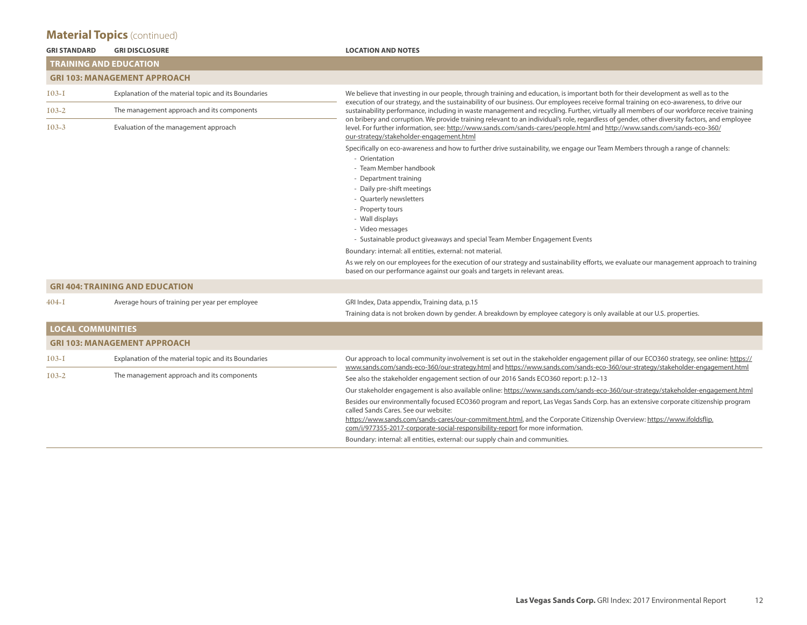| <b>GRI STANDARD</b>      | <b>GRI DISCLOSURE</b>                                | <b>LOCATION AND NOTES</b>                                                                                                                                                                                                                                                                                                                                                                                                            |  |  |  |  |  |  |  |
|--------------------------|------------------------------------------------------|--------------------------------------------------------------------------------------------------------------------------------------------------------------------------------------------------------------------------------------------------------------------------------------------------------------------------------------------------------------------------------------------------------------------------------------|--|--|--|--|--|--|--|
|                          | <b>TRAINING AND EDUCATION</b>                        |                                                                                                                                                                                                                                                                                                                                                                                                                                      |  |  |  |  |  |  |  |
|                          | <b>GRI 103: MANAGEMENT APPROACH</b>                  |                                                                                                                                                                                                                                                                                                                                                                                                                                      |  |  |  |  |  |  |  |
| $103 - 1$                | Explanation of the material topic and its Boundaries | We believe that investing in our people, through training and education, is important both for their development as well as to the                                                                                                                                                                                                                                                                                                   |  |  |  |  |  |  |  |
| $103 - 2$                | The management approach and its components           | execution of our strategy, and the sustainability of our business. Our employees receive formal training on eco-awareness, to drive our<br>sustainability performance, including in waste management and recycling. Further, virtually all members of our workforce receive training<br>on bribery and corruption. We provide training relevant to an individual's role, regardless of gender, other diversity factors, and employee |  |  |  |  |  |  |  |
| $103 - 3$                | Evaluation of the management approach                | level. For further information, see: http://www.sands.com/sands-cares/people.html and http://www.sands.com/sands-eco-360/<br>our-strategy/stakeholder-engagement.html                                                                                                                                                                                                                                                                |  |  |  |  |  |  |  |
|                          |                                                      | Specifically on eco-awareness and how to further drive sustainability, we engage our Team Members through a range of channels:<br>- Orientation<br>- Team Member handbook                                                                                                                                                                                                                                                            |  |  |  |  |  |  |  |
|                          |                                                      | - Department training                                                                                                                                                                                                                                                                                                                                                                                                                |  |  |  |  |  |  |  |
|                          |                                                      | - Daily pre-shift meetings<br>- Quarterly newsletters                                                                                                                                                                                                                                                                                                                                                                                |  |  |  |  |  |  |  |
|                          |                                                      | - Property tours                                                                                                                                                                                                                                                                                                                                                                                                                     |  |  |  |  |  |  |  |
|                          |                                                      | - Wall displays                                                                                                                                                                                                                                                                                                                                                                                                                      |  |  |  |  |  |  |  |
|                          |                                                      | - Video messages                                                                                                                                                                                                                                                                                                                                                                                                                     |  |  |  |  |  |  |  |
|                          |                                                      | - Sustainable product giveaways and special Team Member Engagement Events                                                                                                                                                                                                                                                                                                                                                            |  |  |  |  |  |  |  |
|                          |                                                      | Boundary: internal: all entities, external: not material.                                                                                                                                                                                                                                                                                                                                                                            |  |  |  |  |  |  |  |
|                          |                                                      | As we rely on our employees for the execution of our strategy and sustainability efforts, we evaluate our management approach to training<br>based on our performance against our goals and targets in relevant areas.                                                                                                                                                                                                               |  |  |  |  |  |  |  |
|                          | <b>GRI 404: TRAINING AND EDUCATION</b>               |                                                                                                                                                                                                                                                                                                                                                                                                                                      |  |  |  |  |  |  |  |
| $404 - I$                | Average hours of training per year per employee      | GRI Index, Data appendix, Training data, p.15                                                                                                                                                                                                                                                                                                                                                                                        |  |  |  |  |  |  |  |
|                          |                                                      | Training data is not broken down by gender. A breakdown by employee category is only available at our U.S. properties.                                                                                                                                                                                                                                                                                                               |  |  |  |  |  |  |  |
| <b>LOCAL COMMUNITIES</b> |                                                      |                                                                                                                                                                                                                                                                                                                                                                                                                                      |  |  |  |  |  |  |  |
|                          | <b>GRI 103: MANAGEMENT APPROACH</b>                  |                                                                                                                                                                                                                                                                                                                                                                                                                                      |  |  |  |  |  |  |  |
| $I$ 03-I                 | Explanation of the material topic and its Boundaries | Our approach to local community involvement is set out in the stakeholder engagement pillar of our ECO360 strategy, see online: https://<br>www.sands.com/sands-eco-360/our-strategy.html and https://www.sands.com/sands-eco-360/our-strategy/stakeholder-engagement.html                                                                                                                                                           |  |  |  |  |  |  |  |
| $103 - 2$                | The management approach and its components           | See also the stakeholder engagement section of our 2016 Sands ECO360 report: p.12–13                                                                                                                                                                                                                                                                                                                                                 |  |  |  |  |  |  |  |
|                          |                                                      | Our stakeholder engagement is also available online: https://www.sands.com/sands-eco-360/our-strategy/stakeholder-engagement.html                                                                                                                                                                                                                                                                                                    |  |  |  |  |  |  |  |
|                          |                                                      | Besides our environmentally focused ECO360 program and report, Las Vegas Sands Corp. has an extensive corporate citizenship program<br>called Sands Cares. See our website:                                                                                                                                                                                                                                                          |  |  |  |  |  |  |  |
|                          |                                                      | https://www.sands.com/sands-cares/our-commitment.html, and the Corporate Citizenship Overview: https://www.ifoldsflip.<br>com/i/977355-2017-corporate-social-responsibility-report for more information.                                                                                                                                                                                                                             |  |  |  |  |  |  |  |
|                          |                                                      | Boundary: internal: all entities, external: our supply chain and communities.                                                                                                                                                                                                                                                                                                                                                        |  |  |  |  |  |  |  |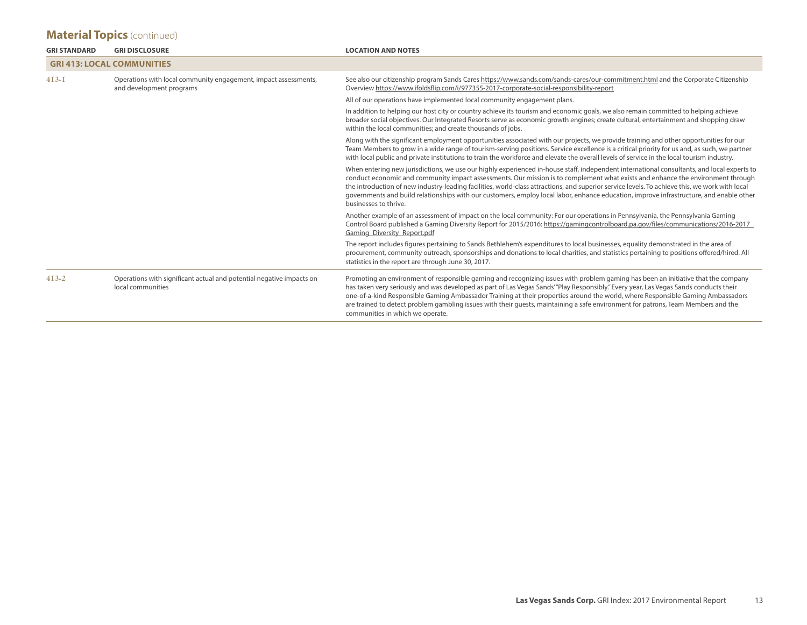| <b>GRI STANDARD</b> | <b>GRI DISCLOSURE</b>                                                                       | <b>LOCATION AND NOTES</b>                                                                                                                                                                                                                                                                                                                                                                                                                                                                                                                                                                           |
|---------------------|---------------------------------------------------------------------------------------------|-----------------------------------------------------------------------------------------------------------------------------------------------------------------------------------------------------------------------------------------------------------------------------------------------------------------------------------------------------------------------------------------------------------------------------------------------------------------------------------------------------------------------------------------------------------------------------------------------------|
|                     | <b>GRI 413: LOCAL COMMUNITIES</b>                                                           |                                                                                                                                                                                                                                                                                                                                                                                                                                                                                                                                                                                                     |
| $4I3-I$             | Operations with local community engagement, impact assessments,<br>and development programs | See also our citizenship program Sands Cares https://www.sands.com/sands-cares/our-commitment.html and the Corporate Citizenship<br>Overview https://www.ifoldsflip.com/i/977355-2017-corporate-social-responsibility-report                                                                                                                                                                                                                                                                                                                                                                        |
|                     |                                                                                             | All of our operations have implemented local community engagement plans.                                                                                                                                                                                                                                                                                                                                                                                                                                                                                                                            |
|                     |                                                                                             | In addition to helping our host city or country achieve its tourism and economic goals, we also remain committed to helping achieve<br>broader social objectives. Our Integrated Resorts serve as economic growth engines; create cultural, entertainment and shopping draw<br>within the local communities; and create thousands of jobs.                                                                                                                                                                                                                                                          |
|                     |                                                                                             | Along with the significant employment opportunities associated with our projects, we provide training and other opportunities for our<br>Team Members to grow in a wide range of tourism-serving positions. Service excellence is a critical priority for us and, as such, we partner<br>with local public and private institutions to train the workforce and elevate the overall levels of service in the local tourism industry.                                                                                                                                                                 |
|                     |                                                                                             | When entering new jurisdictions, we use our highly experienced in-house staff, independent international consultants, and local experts to<br>conduct economic and community impact assessments. Our mission is to complement what exists and enhance the environment through<br>the introduction of new industry-leading facilities, world-class attractions, and superior service levels. To achieve this, we work with local<br>governments and build relationships with our customers, employ local labor, enhance education, improve infrastructure, and enable other<br>businesses to thrive. |
|                     |                                                                                             | Another example of an assessment of impact on the local community: For our operations in Pennsylvania, the Pennsylvania Gaming<br>Control Board published a Gaming Diversity Report for 2015/2016: https://gamingcontrolboard.pa.gov/files/communications/2016-2017<br>Gaming Diversity Report.pdf                                                                                                                                                                                                                                                                                                  |
|                     |                                                                                             | The report includes figures pertaining to Sands Bethlehem's expenditures to local businesses, equality demonstrated in the area of<br>procurement, community outreach, sponsorships and donations to local charities, and statistics pertaining to positions offered/hired. All<br>statistics in the report are through June 30, 2017.                                                                                                                                                                                                                                                              |
| $413 - 2$           | Operations with significant actual and potential negative impacts on<br>local communities   | Promoting an environment of responsible gaming and recognizing issues with problem gaming has been an initiative that the company<br>has taken very seriously and was developed as part of Las Vegas Sands'"Play Responsibly." Every year, Las Vegas Sands conducts their<br>one-of-a-kind Responsible Gaming Ambassador Training at their properties around the world, where Responsible Gaming Ambassadors<br>are trained to detect problem gambling issues with their quests, maintaining a safe environment for patrons, Team Members and the<br>communities in which we operate.               |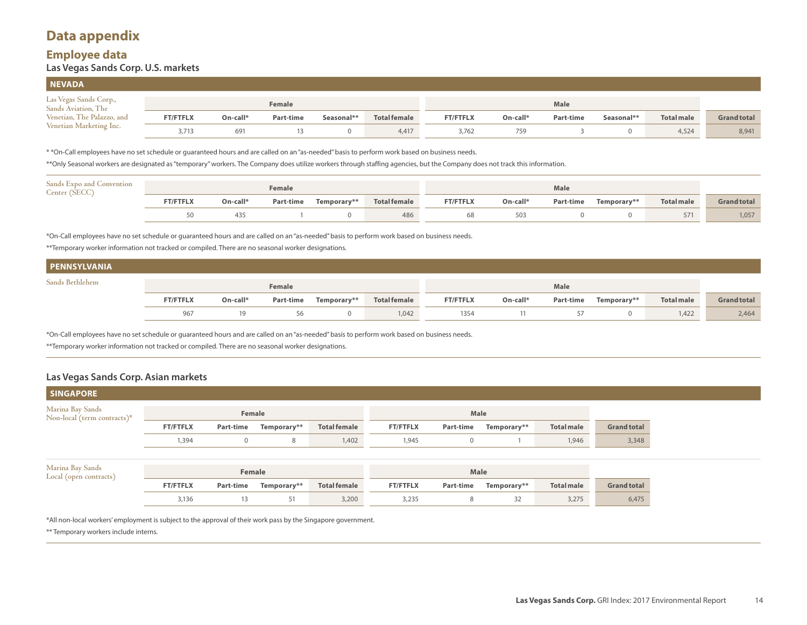## **Data appendix**

#### **Employee data Las Vegas Sands Corp. U.S. markets**

| <b>NEVADA</b>                                        |                 |          |           |            |                     |                 |          |           |            |                   |                    |
|------------------------------------------------------|-----------------|----------|-----------|------------|---------------------|-----------------|----------|-----------|------------|-------------------|--------------------|
| Las Vegas Sands Corp.,<br><b>Sands Aviation, The</b> |                 |          | Female    |            |                     |                 |          |           |            |                   |                    |
| Venetian, The Palazzo, and                           | <b>FT/FTFLX</b> | On-call* | Part-time | Seasonal** | <b>Total female</b> | <b>FT/FTFLX</b> | On-call* | Part-time | Seasonal** | <b>Total male</b> | <b>Grand total</b> |
| Venetian Marketing Inc.                              | 3,713           | 691      |           |            | 4,417               | 3,762           | 759      |           |            | 4,524             | 8,941              |

\* \*On-Call employees have no set schedule or guaranteed hours and are called on an "as-needed" basis to perform work based on business needs.

\*\*Only Seasonal workers are designated as "temporary" workers. The Company does utilize workers through staffing agencies, but the Company does not track this information.

| Sands Expo and Convention<br>Center (SECC) |                 |          | Female    |             |                     |                 |            |           |             |                   |                    |
|--------------------------------------------|-----------------|----------|-----------|-------------|---------------------|-----------------|------------|-----------|-------------|-------------------|--------------------|
|                                            | <b>FT/FTFLX</b> | On-call* | Part-time | Temporary** | <b>Total female</b> | <b>FT/FTFLX</b> | $On-call*$ | Part-time | Temporary** | <b>Total male</b> | <b>Grand total</b> |
|                                            |                 | 435      |           |             | 486                 | 68              | 503        |           |             | 571               | 1,057              |

\*On-Call employees have no set schedule or guaranteed hours and are called on an "as-needed" basis to perform work based on business needs.

\*\*Temporary worker information not tracked or compiled. There are no seasonal worker designations.

| Sands Bethlehem |                 |            | Female    |             |                     |                 |            |           |                   |                   |                  |
|-----------------|-----------------|------------|-----------|-------------|---------------------|-----------------|------------|-----------|-------------------|-------------------|------------------|
|                 | <b>ET/ETEL)</b> | $On-call*$ | Part-time | Tamporary** | <b>Total female</b> | <b>ET/ETELY</b> | $On-call*$ | Part-time | $T$ amnorary $**$ | <b>Total male</b> | <b>LEPERATOR</b> |

|     | On-call | Par<br>t-time | Temporarv** | Total female | I FL) | On-call* | Part-time | <b>Femporary</b> * | <b>Total male</b> |  |
|-----|---------|---------------|-------------|--------------|-------|----------|-----------|--------------------|-------------------|--|
| 967 |         |               |             | $\Omega$     | 17r   |          |           |                    | $\sim$<br>$-2$    |  |

\*On-Call employees have no set schedule or guaranteed hours and are called on an "as-needed" basis to perform work based on business needs.

\*\*Temporary worker information not tracked or compiled. There are no seasonal worker designations.

#### **Las Vegas Sands Corp. Asian markets**

| <b>SINGAPORE</b>                                |                 |             |             |                     |                 |           |             |                   |                    |  |
|-------------------------------------------------|-----------------|-------------|-------------|---------------------|-----------------|-----------|-------------|-------------------|--------------------|--|
| Marina Bay Sands<br>Non-local (term contracts)* |                 | Female      |             |                     |                 | Male      |             |                   |                    |  |
|                                                 | <b>FT/FTFLX</b> | Part-time   | Temporary** | <b>Total female</b> | <b>FT/FTFLX</b> | Part-time | Temporary** | <b>Total male</b> | <b>Grand total</b> |  |
|                                                 | 1,394           | $\mathbf 0$ | 8           | 1,402               | 1,945           | 0         |             | 1,946             | 3,348              |  |
|                                                 |                 |             |             |                     |                 |           |             |                   |                    |  |
| Marina Bay Sands<br>Local (open contracts)      |                 | Female      |             |                     |                 |           |             |                   |                    |  |
|                                                 | <b>FT/FTFLX</b> | Part-time   | Temporary** | <b>Total female</b> | <b>FT/FTFLX</b> | Part-time | Temporary** | <b>Total male</b> | <b>Grand total</b> |  |
|                                                 | 3,136           | 13          | 51          | 3,200               | 3,235           | 8         | 32          | 3,275             | 6,475              |  |
|                                                 |                 |             |             |                     |                 |           |             |                   |                    |  |

\*All non-local workers' employment is subject to the approval of their work pass by the Singapore government.

\*\* Temporary workers include interns.